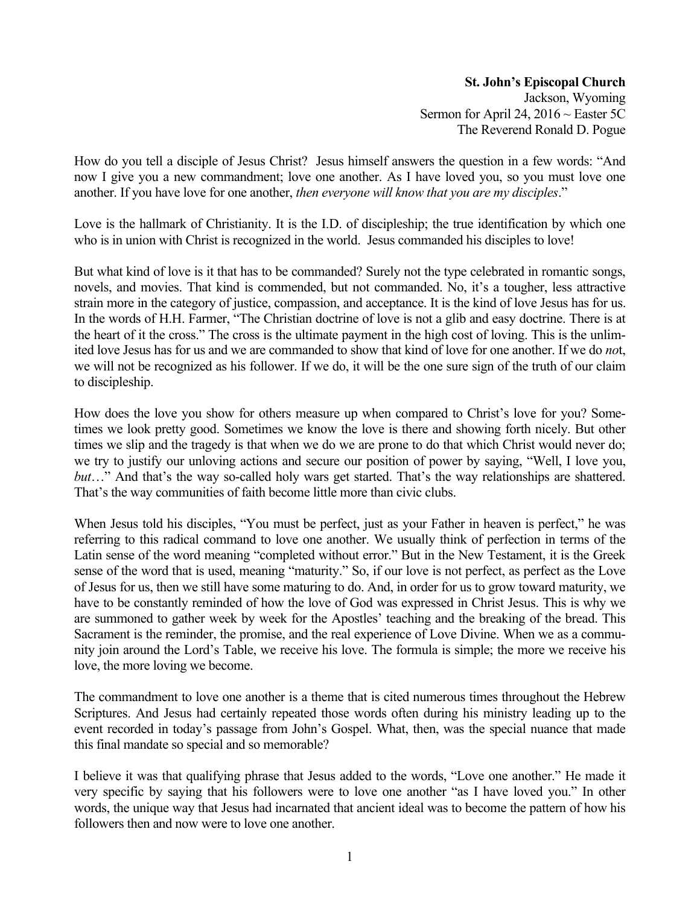## **St. John's Episcopal Church**

Jackson, Wyoming Sermon for April 24, 2016  $\sim$  Easter 5C The Reverend Ronald D. Pogue

How do you tell a disciple of Jesus Christ? Jesus himself answers the question in a few words: "And now I give you a new commandment; love one another. As I have loved you, so you must love one another. If you have love for one another, *then everyone will know that you are my disciples*."

Love is the hallmark of Christianity. It is the I.D. of discipleship; the true identification by which one who is in union with Christ is recognized in the world. Jesus commanded his disciples to love!

But what kind of love is it that has to be commanded? Surely not the type celebrated in romantic songs, novels, and movies. That kind is commended, but not commanded. No, it's a tougher, less attractive strain more in the category of justice, compassion, and acceptance. It is the kind of love Jesus has for us. In the words of H.H. Farmer, "The Christian doctrine of love is not a glib and easy doctrine. There is at the heart of it the cross." The cross is the ultimate payment in the high cost of loving. This is the unlimited love Jesus has for us and we are commanded to show that kind of love for one another. If we do *no*t, we will not be recognized as his follower. If we do, it will be the one sure sign of the truth of our claim to discipleship.

How does the love you show for others measure up when compared to Christ's love for you? Sometimes we look pretty good. Sometimes we know the love is there and showing forth nicely. But other times we slip and the tragedy is that when we do we are prone to do that which Christ would never do; we try to justify our unloving actions and secure our position of power by saying, "Well, I love you, *but*…" And that's the way so-called holy wars get started. That's the way relationships are shattered. That's the way communities of faith become little more than civic clubs.

When Jesus told his disciples, "You must be perfect, just as your Father in heaven is perfect," he was referring to this radical command to love one another. We usually think of perfection in terms of the Latin sense of the word meaning "completed without error." But in the New Testament, it is the Greek sense of the word that is used, meaning "maturity." So, if our love is not perfect, as perfect as the Love of Jesus for us, then we still have some maturing to do. And, in order for us to grow toward maturity, we have to be constantly reminded of how the love of God was expressed in Christ Jesus. This is why we are summoned to gather week by week for the Apostles' teaching and the breaking of the bread. This Sacrament is the reminder, the promise, and the real experience of Love Divine. When we as a community join around the Lord's Table, we receive his love. The formula is simple; the more we receive his love, the more loving we become.

The commandment to love one another is a theme that is cited numerous times throughout the Hebrew Scriptures. And Jesus had certainly repeated those words often during his ministry leading up to the event recorded in today's passage from John's Gospel. What, then, was the special nuance that made this final mandate so special and so memorable?

I believe it was that qualifying phrase that Jesus added to the words, "Love one another." He made it very specific by saying that his followers were to love one another "as I have loved you." In other words, the unique way that Jesus had incarnated that ancient ideal was to become the pattern of how his followers then and now were to love one another.